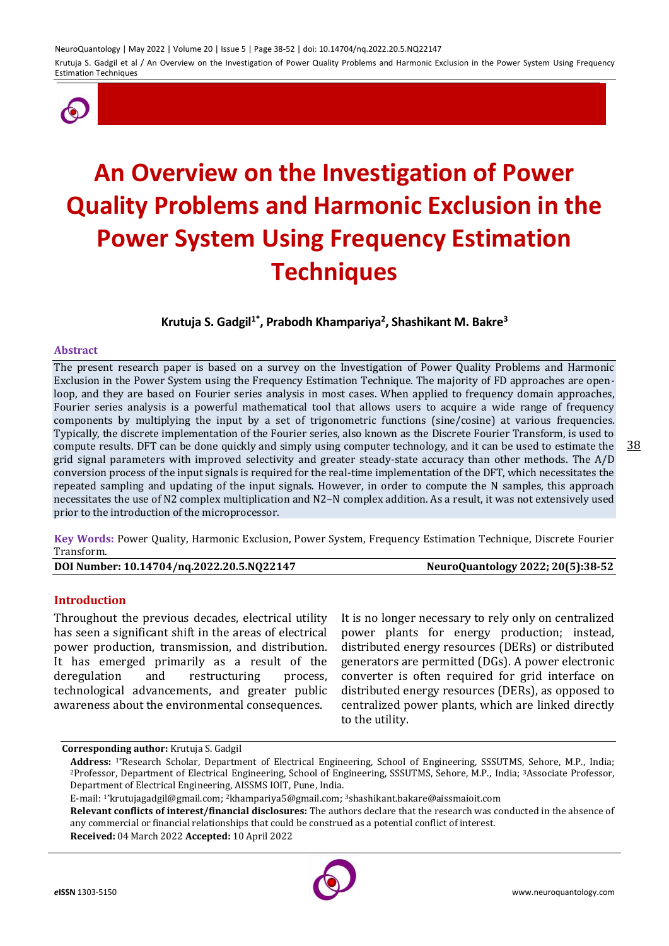

# **An Overview on the Investigation of Power Quality Problems and Harmonic Exclusion in the Power System Using Frequency Estimation Techniques**

**Krutuja S. Gadgil1\*, Prabodh Khampariya<sup>2</sup> , Shashikant M. Bakre<sup>3</sup>**

#### **Abstract**

The present research paper is based on a survey on the Investigation of Power Quality Problems and Harmonic Exclusion in the Power System using the Frequency Estimation Technique. The majority of FD approaches are openloop, and they are based on Fourier series analysis in most cases. When applied to frequency domain approaches, Fourier series analysis is a powerful mathematical tool that allows users to acquire a wide range of frequency components by multiplying the input by a set of trigonometric functions (sine/cosine) at various frequencies. Typically, the discrete implementation of the Fourier series, also known as the Discrete Fourier Transform, is used to compute results. DFT can be done quickly and simply using computer technology, and it can be used to estimate the grid signal parameters with improved selectivity and greater steady-state accuracy than other methods. The A/D conversion process of the input signals is required for the real-time implementation of the DFT, which necessitates the repeated sampling and updating of the input signals. However, in order to compute the N samples, this approach necessitates the use of N2 complex multiplication and N2–N complex addition. As a result, it was not extensively used prior to the introduction of the microprocessor.

**Key Words:** Power Quality, Harmonic Exclusion, Power System, Frequency Estimation Technique, Discrete Fourier Transform.

**DOI Number: 10.14704/nq.2022.20.5.NQ22147 NeuroQuantology 2022; 20(5):38-52**

#### **Introduction**

Throughout the previous decades, electrical utility has seen a significant shift in the areas of electrical power production, transmission, and distribution. It has emerged primarily as a result of the deregulation and restructuring process, technological advancements, and greater public awareness about the environmental consequences.

It is no longer necessary to rely only on centralized power plants for energy production; instead, distributed energy resources (DERs) or distributed generators are permitted (DGs). A power electronic converter is often required for grid interface on distributed energy resources (DERs), as opposed to centralized power plants, which are linked directly to the utility.

**Corresponding author:** Krutuja S. Gadgil

**Received:** 04 March 2022 **Accepted:** 10 April 2022



**Address:** 1\*Research Scholar, Department of Electrical Engineering, School of Engineering, SSSUTMS, Sehore, M.P., India; <sup>2</sup>Professor, Department of Electrical Engineering, School of Engineering, SSSUTMS, Sehore, M.P., India; 3Associate Professor, Department of Electrical Engineering, AISSMS IOIT, Pune, India.

E-mail: <sup>1</sup>\*krutujagadgil@gmail.com; <sup>2</sup>khampariya5@gmail.com; <sup>3</sup>shashikant.bakare@aissmaioit.com

**Relevant conflicts of interest/financial disclosures:** The authors declare that the research was conducted in the absence of any commercial or financial relationships that could be construed as a potential conflict of interest.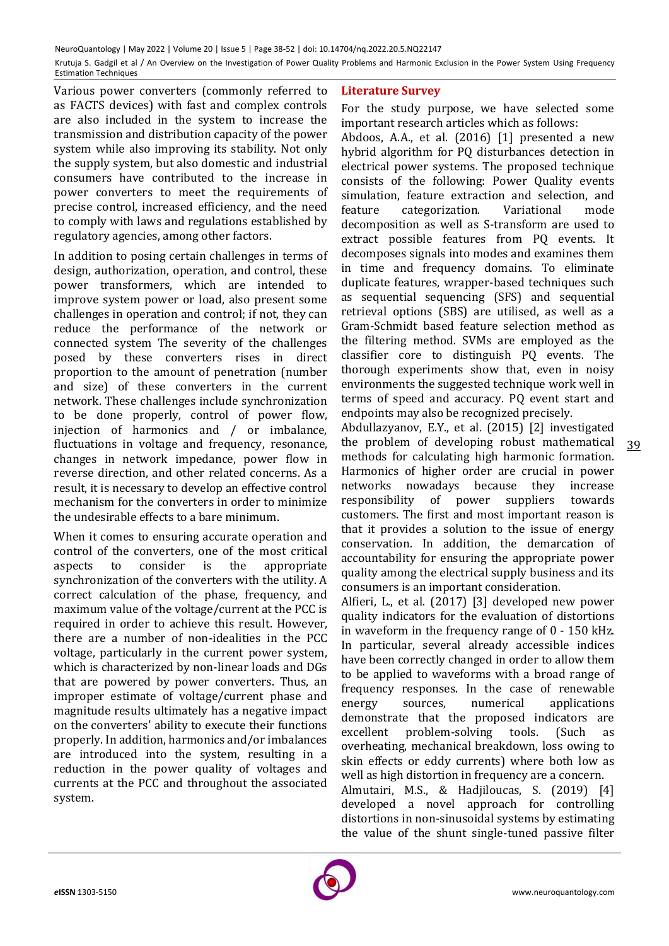Various power converters (commonly referred to as FACTS devices) with fast and complex controls are also included in the system to increase the transmission and distribution capacity of the power system while also improving its stability. Not only the supply system, but also domestic and industrial consumers have contributed to the increase in power converters to meet the requirements of precise control, increased efficiency, and the need to comply with laws and regulations established by regulatory agencies, among other factors.

In addition to posing certain challenges in terms of design, authorization, operation, and control, these power transformers, which are intended to improve system power or load, also present some challenges in operation and control; if not, they can reduce the performance of the network or connected system The severity of the challenges posed by these converters rises in direct proportion to the amount of penetration (number and size) of these converters in the current network. These challenges include synchronization to be done properly, control of power flow, injection of harmonics and / or imbalance, fluctuations in voltage and frequency, resonance, changes in network impedance, power flow in reverse direction, and other related concerns. As a result, it is necessary to develop an effective control mechanism for the converters in order to minimize the undesirable effects to a bare minimum.

When it comes to ensuring accurate operation and control of the converters, one of the most critical aspects to consider is the appropriate synchronization of the converters with the utility. A correct calculation of the phase, frequency, and maximum value of the voltage/current at the PCC is required in order to achieve this result. However, there are a number of non-idealities in the PCC voltage, particularly in the current power system, which is characterized by non-linear loads and DGs that are powered by power converters. Thus, an improper estimate of voltage/current phase and magnitude results ultimately has a negative impact on the converters' ability to execute their functions properly. In addition, harmonics and/or imbalances are introduced into the system, resulting in a reduction in the power quality of voltages and currents at the PCC and throughout the associated system.

#### **Literature Survey**

For the study purpose, we have selected some important research articles which as follows:

Abdoos, A.A., et al. (2016) [1] presented a new hybrid algorithm for PQ disturbances detection in electrical power systems. The proposed technique consists of the following: Power Quality events simulation, feature extraction and selection, and feature categorization. Variational mode decomposition as well as S-transform are used to extract possible features from PQ events. It decomposes signals into modes and examines them in time and frequency domains. To eliminate duplicate features, wrapper-based techniques such as sequential sequencing (SFS) and sequential retrieval options (SBS) are utilised, as well as a Gram-Schmidt based feature selection method as the filtering method. SVMs are employed as the classifier core to distinguish PQ events. The thorough experiments show that, even in noisy environments the suggested technique work well in terms of speed and accuracy. PQ event start and endpoints may also be recognized precisely.

39 Abdullazyanov, E.Y., et al. (2015) [2] investigated the problem of developing robust mathematical methods for calculating high harmonic formation. Harmonics of higher order are crucial in power networks nowadays because they increase responsibility of power suppliers towards customers. The first and most important reason is that it provides a solution to the issue of energy conservation. In addition, the demarcation of accountability for ensuring the appropriate power quality among the electrical supply business and its consumers is an important consideration.

Alfieri, L., et al. (2017) [3] developed new power quality indicators for the evaluation of distortions in waveform in the frequency range of 0 - 150 kHz. In particular, several already accessible indices have been correctly changed in order to allow them to be applied to waveforms with a broad range of frequency responses. In the case of renewable energy sources, numerical applications demonstrate that the proposed indicators are excellent problem-solving tools. (Such as overheating, mechanical breakdown, loss owing to skin effects or eddy currents) where both low as well as high distortion in frequency are a concern.

Almutairi, M.S., & Hadjiloucas, S. (2019) [4] developed a novel approach for controlling distortions in non-sinusoidal systems by estimating the value of the shunt single-tuned passive filter

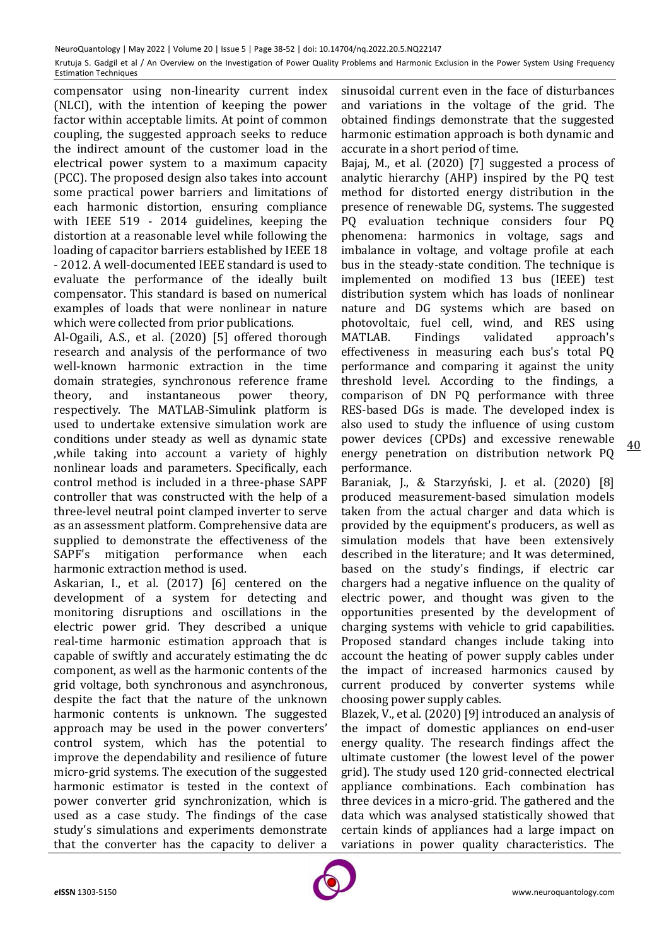compensator using non-linearity current index (NLCI), with the intention of keeping the power factor within acceptable limits. At point of common coupling, the suggested approach seeks to reduce the indirect amount of the customer load in the electrical power system to a maximum capacity (PCC). The proposed design also takes into account some practical power barriers and limitations of each harmonic distortion, ensuring compliance with IEEE 519 - 2014 guidelines, keeping the distortion at a reasonable level while following the loading of capacitor barriers established by IEEE 18 - 2012. A well-documented IEEE standard is used to evaluate the performance of the ideally built compensator. This standard is based on numerical examples of loads that were nonlinear in nature which were collected from prior publications.

Al-Ogaili, A.S., et al. (2020) [5] offered thorough research and analysis of the performance of two well-known harmonic extraction in the time domain strategies, synchronous reference frame theory, and instantaneous power theory, respectively. The MATLAB-Simulink platform is used to undertake extensive simulation work are conditions under steady as well as dynamic state ,while taking into account a variety of highly nonlinear loads and parameters. Specifically, each control method is included in a three-phase SAPF controller that was constructed with the help of a three-level neutral point clamped inverter to serve as an assessment platform. Comprehensive data are supplied to demonstrate the effectiveness of the SAPF's mitigation performance when each harmonic extraction method is used.

Askarian, I., et al. (2017) [6] centered on the development of a system for detecting and monitoring disruptions and oscillations in the electric power grid. They described a unique real-time harmonic estimation approach that is capable of swiftly and accurately estimating the dc component, as well as the harmonic contents of the grid voltage, both synchronous and asynchronous, despite the fact that the nature of the unknown harmonic contents is unknown. The suggested approach may be used in the power converters' control system, which has the potential to improve the dependability and resilience of future micro-grid systems. The execution of the suggested harmonic estimator is tested in the context of power converter grid synchronization, which is used as a case study. The findings of the case study's simulations and experiments demonstrate that the converter has the capacity to deliver a

sinusoidal current even in the face of disturbances and variations in the voltage of the grid. The obtained findings demonstrate that the suggested harmonic estimation approach is both dynamic and accurate in a short period of time.

Bajaj, M., et al. (2020) [7] suggested a process of analytic hierarchy (AHP) inspired by the PQ test method for distorted energy distribution in the presence of renewable DG, systems. The suggested PQ evaluation technique considers four PQ phenomena: harmonics in voltage, sags and imbalance in voltage, and voltage profile at each bus in the steady-state condition. The technique is implemented on modified 13 bus (IEEE) test distribution system which has loads of nonlinear nature and DG systems which are based on photovoltaic, fuel cell, wind, and RES using MATLAB. Findings validated approach's effectiveness in measuring each bus's total PQ performance and comparing it against the unity threshold level. According to the findings, a comparison of DN PQ performance with three RES-based DGs is made. The developed index is also used to study the influence of using custom power devices (CPDs) and excessive renewable energy penetration on distribution network PQ performance.

Baraniak, J., & Starzyński, J. et al. (2020) [8] produced measurement-based simulation models taken from the actual charger and data which is provided by the equipment's producers, as well as simulation models that have been extensively described in the literature; and It was determined, based on the study's findings, if electric car chargers had a negative influence on the quality of electric power, and thought was given to the opportunities presented by the development of charging systems with vehicle to grid capabilities. Proposed standard changes include taking into account the heating of power supply cables under the impact of increased harmonics caused by current produced by converter systems while choosing power supply cables.

Blazek, V., et al. (2020) [9] introduced an analysis of the impact of domestic appliances on end-user energy quality. The research findings affect the ultimate customer (the lowest level of the power grid). The study used 120 grid-connected electrical appliance combinations. Each combination has three devices in a micro-grid. The gathered and the data which was analysed statistically showed that certain kinds of appliances had a large impact on variations in power quality characteristics. The

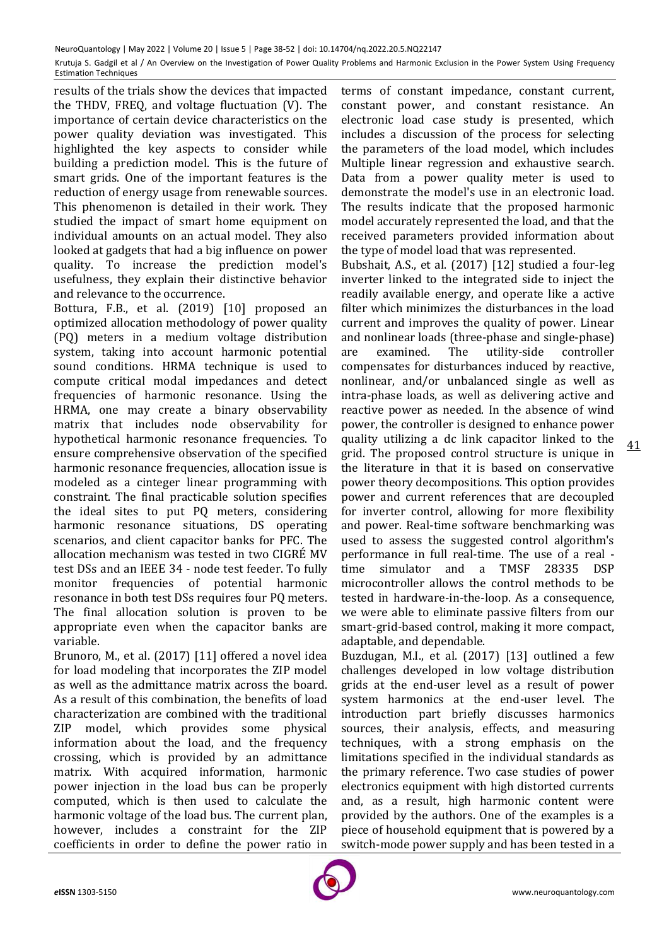results of the trials show the devices that impacted the THDV, FREQ, and voltage fluctuation (V). The importance of certain device characteristics on the power quality deviation was investigated. This highlighted the key aspects to consider while building a prediction model. This is the future of smart grids. One of the important features is the reduction of energy usage from renewable sources. This phenomenon is detailed in their work. They studied the impact of smart home equipment on individual amounts on an actual model. They also looked at gadgets that had a big influence on power quality. To increase the prediction model's usefulness, they explain their distinctive behavior and relevance to the occurrence.

Bottura, F.B., et al. (2019) [10] proposed an optimized allocation methodology of power quality (PQ) meters in a medium voltage distribution system, taking into account harmonic potential sound conditions. HRMA technique is used to compute critical modal impedances and detect frequencies of harmonic resonance. Using the HRMA, one may create a binary observability matrix that includes node observability for hypothetical harmonic resonance frequencies. To ensure comprehensive observation of the specified harmonic resonance frequencies, allocation issue is modeled as a cinteger linear programming with constraint. The final practicable solution specifies the ideal sites to put PQ meters, considering harmonic resonance situations, DS operating scenarios, and client capacitor banks for PFC. The allocation mechanism was tested in two CIGRÉ MV test DSs and an IEEE 34 - node test feeder. To fully monitor frequencies of potential harmonic resonance in both test DSs requires four PQ meters. The final allocation solution is proven to be appropriate even when the capacitor banks are variable.

Brunoro, M., et al. (2017) [11] offered a novel idea for load modeling that incorporates the ZIP model as well as the admittance matrix across the board. As a result of this combination, the benefits of load characterization are combined with the traditional ZIP model, which provides some physical information about the load, and the frequency crossing, which is provided by an admittance matrix. With acquired information, harmonic power injection in the load bus can be properly computed, which is then used to calculate the harmonic voltage of the load bus. The current plan, however, includes a constraint for the ZIP coefficients in order to define the power ratio in

terms of constant impedance, constant current, constant power, and constant resistance. An electronic load case study is presented, which includes a discussion of the process for selecting the parameters of the load model, which includes Multiple linear regression and exhaustive search. Data from a power quality meter is used to demonstrate the model's use in an electronic load. The results indicate that the proposed harmonic model accurately represented the load, and that the received parameters provided information about the type of model load that was represented.

41 Bubshait, A.S., et al. (2017) [12] studied a four-leg inverter linked to the integrated side to inject the readily available energy, and operate like a active filter which minimizes the disturbances in the load current and improves the quality of power. Linear and nonlinear loads (three-phase and single-phase) are examined. The utility-side controller compensates for disturbances induced by reactive, nonlinear, and/or unbalanced single as well as intra-phase loads, as well as delivering active and reactive power as needed. In the absence of wind power, the controller is designed to enhance power quality utilizing a dc link capacitor linked to the grid. The proposed control structure is unique in the literature in that it is based on conservative power theory decompositions. This option provides power and current references that are decoupled for inverter control, allowing for more flexibility and power. Real-time software benchmarking was used to assess the suggested control algorithm's performance in full real-time. The use of a real time simulator and a TMSF 28335 DSP microcontroller allows the control methods to be tested in hardware-in-the-loop. As a consequence, we were able to eliminate passive filters from our smart-grid-based control, making it more compact, adaptable, and dependable.

Buzdugan, M.I., et al. (2017) [13] outlined a few challenges developed in low voltage distribution grids at the end-user level as a result of power system harmonics at the end-user level. The introduction part briefly discusses harmonics sources, their analysis, effects, and measuring techniques, with a strong emphasis on the limitations specified in the individual standards as the primary reference. Two case studies of power electronics equipment with high distorted currents and, as a result, high harmonic content were provided by the authors. One of the examples is a piece of household equipment that is powered by a switch-mode power supply and has been tested in a

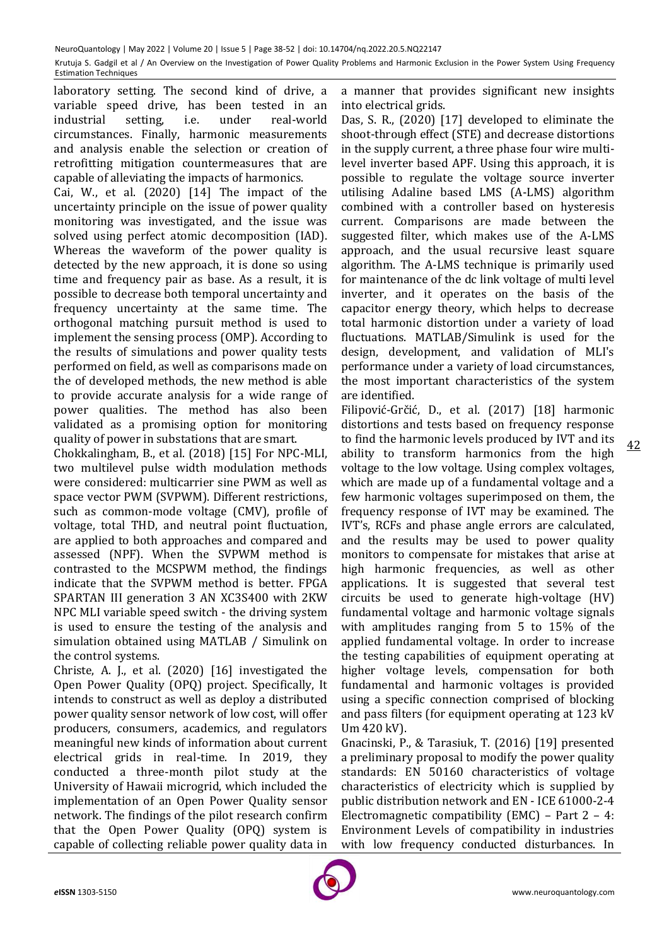laboratory setting. The second kind of drive, a variable speed drive, has been tested in an industrial setting, i.e. under real-world circumstances. Finally, harmonic measurements and analysis enable the selection or creation of retrofitting mitigation countermeasures that are capable of alleviating the impacts of harmonics.

Cai, W., et al. (2020) [14] The impact of the uncertainty principle on the issue of power quality monitoring was investigated, and the issue was solved using perfect atomic decomposition (IAD). Whereas the waveform of the power quality is detected by the new approach, it is done so using time and frequency pair as base. As a result, it is possible to decrease both temporal uncertainty and frequency uncertainty at the same time. The orthogonal matching pursuit method is used to implement the sensing process (OMP). According to the results of simulations and power quality tests performed on field, as well as comparisons made on the of developed methods, the new method is able to provide accurate analysis for a wide range of power qualities. The method has also been validated as a promising option for monitoring quality of power in substations that are smart.

Chokkalingham, B., et al. (2018) [15] For NPC-MLI, two multilevel pulse width modulation methods were considered: multicarrier sine PWM as well as space vector PWM (SVPWM). Different restrictions, such as common-mode voltage (CMV), profile of voltage, total THD, and neutral point fluctuation, are applied to both approaches and compared and assessed (NPF). When the SVPWM method is contrasted to the MCSPWM method, the findings indicate that the SVPWM method is better. FPGA SPARTAN III generation 3 AN XC3S400 with 2KW NPC MLI variable speed switch - the driving system is used to ensure the testing of the analysis and simulation obtained using MATLAB / Simulink on the control systems.

Christe, A. J., et al. (2020) [16] investigated the Open Power Quality (OPQ) project. Specifically, It intends to construct as well as deploy a distributed power quality sensor network of low cost, will offer producers, consumers, academics, and regulators meaningful new kinds of information about current electrical grids in real-time. In 2019, they conducted a three-month pilot study at the University of Hawaii microgrid, which included the implementation of an Open Power Quality sensor network. The findings of the pilot research confirm that the Open Power Quality (OPQ) system is capable of collecting reliable power quality data in

a manner that provides significant new insights into electrical grids.

Das, S. R., (2020) [17] developed to eliminate the shoot-through effect (STE) and decrease distortions in the supply current, a three phase four wire multilevel inverter based APF. Using this approach, it is possible to regulate the voltage source inverter utilising Adaline based LMS (A-LMS) algorithm combined with a controller based on hysteresis current. Comparisons are made between the suggested filter, which makes use of the A-LMS approach, and the usual recursive least square algorithm. The A-LMS technique is primarily used for maintenance of the dc link voltage of multi level inverter, and it operates on the basis of the capacitor energy theory, which helps to decrease total harmonic distortion under a variety of load fluctuations. MATLAB/Simulink is used for the design, development, and validation of MLI's performance under a variety of load circumstances, the most important characteristics of the system are identified.

Filipović-Grčić, D., et al. (2017) [18] harmonic distortions and tests based on frequency response to find the harmonic levels produced by IVT and its ability to transform harmonics from the high voltage to the low voltage. Using complex voltages, which are made up of a fundamental voltage and a few harmonic voltages superimposed on them, the frequency response of IVT may be examined. The IVT's, RCFs and phase angle errors are calculated, and the results may be used to power quality monitors to compensate for mistakes that arise at high harmonic frequencies, as well as other applications. It is suggested that several test circuits be used to generate high-voltage (HV) fundamental voltage and harmonic voltage signals with amplitudes ranging from 5 to 15% of the applied fundamental voltage. In order to increase the testing capabilities of equipment operating at higher voltage levels, compensation for both fundamental and harmonic voltages is provided using a specific connection comprised of blocking and pass filters (for equipment operating at 123 kV Um 420 kV).

Gnacinski, P., & Tarasiuk, T. (2016) [19] presented a preliminary proposal to modify the power quality standards: EN 50160 characteristics of voltage characteristics of electricity which is supplied by public distribution network and EN - ICE 61000-2-4 Electromagnetic compatibility (EMC) – Part 2 – 4: Environment Levels of compatibility in industries with low frequency conducted disturbances. In

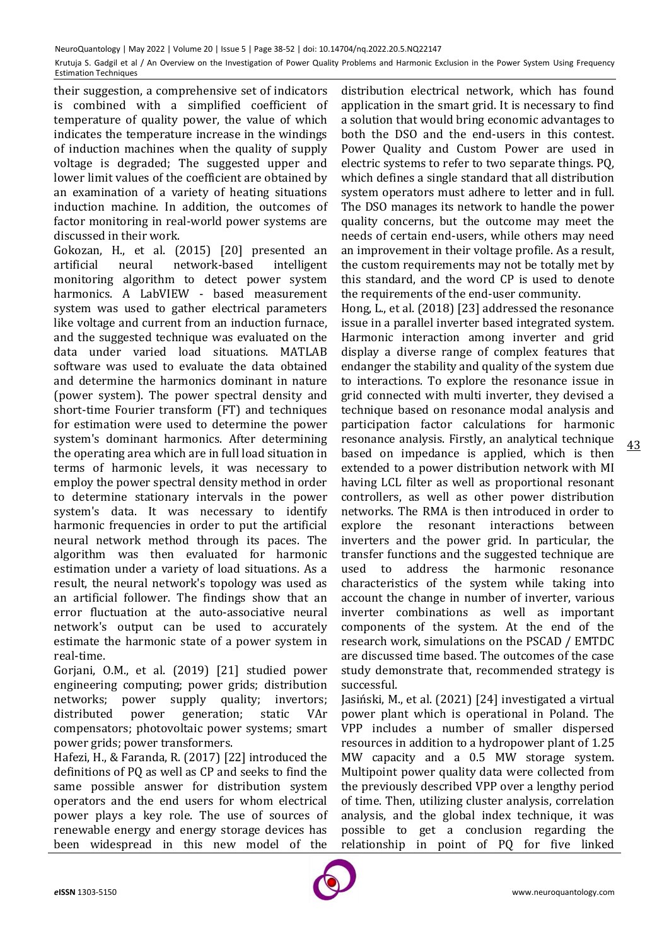their suggestion, a comprehensive set of indicators is combined with a simplified coefficient of temperature of quality power, the value of which indicates the temperature increase in the windings of induction machines when the quality of supply voltage is degraded; The suggested upper and lower limit values of the coefficient are obtained by an examination of a variety of heating situations induction machine. In addition, the outcomes of factor monitoring in real-world power systems are discussed in their work.

Gokozan, H., et al. (2015) [20] presented an artificial neural network-based intelligent monitoring algorithm to detect power system harmonics. A LabVIEW - based measurement system was used to gather electrical parameters like voltage and current from an induction furnace, and the suggested technique was evaluated on the data under varied load situations. MATLAB software was used to evaluate the data obtained and determine the harmonics dominant in nature (power system). The power spectral density and short-time Fourier transform (FT) and techniques for estimation were used to determine the power system's dominant harmonics. After determining the operating area which are in full load situation in terms of harmonic levels, it was necessary to employ the power spectral density method in order to determine stationary intervals in the power system's data. It was necessary to identify harmonic frequencies in order to put the artificial neural network method through its paces. The algorithm was then evaluated for harmonic estimation under a variety of load situations. As a result, the neural network's topology was used as an artificial follower. The findings show that an error fluctuation at the auto-associative neural network's output can be used to accurately estimate the harmonic state of a power system in real-time.

Gorjani, O.M., et al. (2019) [21] studied power engineering computing; power grids; distribution networks: power supply quality; invertors: distributed power generation; static VAr compensators; photovoltaic power systems; smart power grids; power transformers.

Hafezi, H., & Faranda, R. (2017) [22] introduced the definitions of PQ as well as CP and seeks to find the same possible answer for distribution system operators and the end users for whom electrical power plays a key role. The use of sources of renewable energy and energy storage devices has been widespread in this new model of the

distribution electrical network, which has found application in the smart grid. It is necessary to find a solution that would bring economic advantages to both the DSO and the end-users in this contest. Power Quality and Custom Power are used in electric systems to refer to two separate things. PQ, which defines a single standard that all distribution system operators must adhere to letter and in full. The DSO manages its network to handle the power quality concerns, but the outcome may meet the needs of certain end-users, while others may need an improvement in their voltage profile. As a result, the custom requirements may not be totally met by this standard, and the word CP is used to denote the requirements of the end-user community. Hong, L., et al. (2018) [23] addressed the resonance issue in a parallel inverter based integrated system. Harmonic interaction among inverter and grid display a diverse range of complex features that endanger the stability and quality of the system due to interactions. To explore the resonance issue in grid connected with multi inverter, they devised a technique based on resonance modal analysis and participation factor calculations for harmonic resonance analysis. Firstly, an analytical technique based on impedance is applied, which is then extended to a power distribution network with MI having LCL filter as well as proportional resonant controllers, as well as other power distribution networks. The RMA is then introduced in order to explore the resonant interactions between inverters and the power grid. In particular, the transfer functions and the suggested technique are used to address the harmonic resonance characteristics of the system while taking into account the change in number of inverter, various inverter combinations as well as important components of the system. At the end of the research work, simulations on the PSCAD / EMTDC are discussed time based. The outcomes of the case

successful. Jasiński, M., et al. (2021) [24] investigated a virtual power plant which is operational in Poland. The VPP includes a number of smaller dispersed resources in addition to a hydropower plant of 1.25 MW capacity and a 0.5 MW storage system. Multipoint power quality data were collected from the previously described VPP over a lengthy period of time. Then, utilizing cluster analysis, correlation analysis, and the global index technique, it was possible to get a conclusion regarding the relationship in point of PQ for five linked

study demonstrate that, recommended strategy is

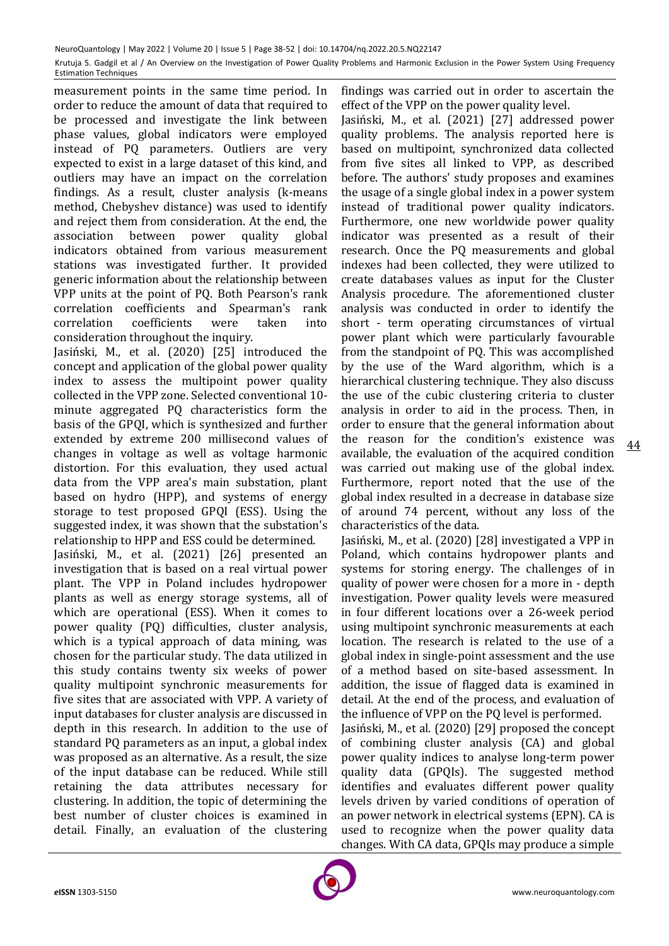measurement points in the same time period. In order to reduce the amount of data that required to be processed and investigate the link between phase values, global indicators were employed instead of PQ parameters. Outliers are very expected to exist in a large dataset of this kind, and outliers may have an impact on the correlation findings. As a result, cluster analysis (k-means method, Chebyshev distance) was used to identify and reject them from consideration. At the end, the association between power quality global indicators obtained from various measurement stations was investigated further. It provided generic information about the relationship between VPP units at the point of PQ. Both Pearson's rank correlation coefficients and Spearman's rank correlation coefficients were taken into consideration throughout the inquiry.

Jasiński, M., et al. (2020) [25] introduced the concept and application of the global power quality index to assess the multipoint power quality collected in the VPP zone. Selected conventional 10 minute aggregated PQ characteristics form the basis of the GPQI, which is synthesized and further extended by extreme 200 millisecond values of changes in voltage as well as voltage harmonic distortion. For this evaluation, they used actual data from the VPP area's main substation, plant based on hydro (HPP), and systems of energy storage to test proposed GPQI (ESS). Using the suggested index, it was shown that the substation's relationship to HPP and ESS could be determined.

Jasiński, M., et al. (2021) [26] presented an investigation that is based on a real virtual power plant. The VPP in Poland includes hydropower plants as well as energy storage systems, all of which are operational (ESS). When it comes to power quality (PQ) difficulties, cluster analysis, which is a typical approach of data mining, was chosen for the particular study. The data utilized in this study contains twenty six weeks of power quality multipoint synchronic measurements for five sites that are associated with VPP. A variety of input databases for cluster analysis are discussed in depth in this research. In addition to the use of standard PQ parameters as an input, a global index was proposed as an alternative. As a result, the size of the input database can be reduced. While still retaining the data attributes necessary for clustering. In addition, the topic of determining the best number of cluster choices is examined in detail. Finally, an evaluation of the clustering

findings was carried out in order to ascertain the effect of the VPP on the power quality level.

Jasiński, M., et al. (2021) [27] addressed power quality problems. The analysis reported here is based on multipoint, synchronized data collected from five sites all linked to VPP, as described before. The authors' study proposes and examines the usage of a single global index in a power system instead of traditional power quality indicators. Furthermore, one new worldwide power quality indicator was presented as a result of their research. Once the PQ measurements and global indexes had been collected, they were utilized to create databases values as input for the Cluster Analysis procedure. The aforementioned cluster analysis was conducted in order to identify the short - term operating circumstances of virtual power plant which were particularly favourable from the standpoint of PQ. This was accomplished by the use of the Ward algorithm, which is a hierarchical clustering technique. They also discuss the use of the cubic clustering criteria to cluster analysis in order to aid in the process. Then, in order to ensure that the general information about the reason for the condition's existence was available, the evaluation of the acquired condition was carried out making use of the global index. Furthermore, report noted that the use of the global index resulted in a decrease in database size of around 74 percent, without any loss of the characteristics of the data.

Jasiński, M., et al. (2020) [28] investigated a VPP in Poland, which contains hydropower plants and systems for storing energy. The challenges of in quality of power were chosen for a more in - depth investigation. Power quality levels were measured in four different locations over a 26-week period using multipoint synchronic measurements at each location. The research is related to the use of a global index in single-point assessment and the use of a method based on site-based assessment. In addition, the issue of flagged data is examined in detail. At the end of the process, and evaluation of the influence of VPP on the PQ level is performed.

Jasiński, M., et al. (2020) [29] proposed the concept of combining cluster analysis (CA) and global power quality indices to analyse long-term power quality data (GPQIs). The suggested method identifies and evaluates different power quality levels driven by varied conditions of operation of an power network in electrical systems (EPN). CA is used to recognize when the power quality data changes. With CA data, GPQIs may produce a simple

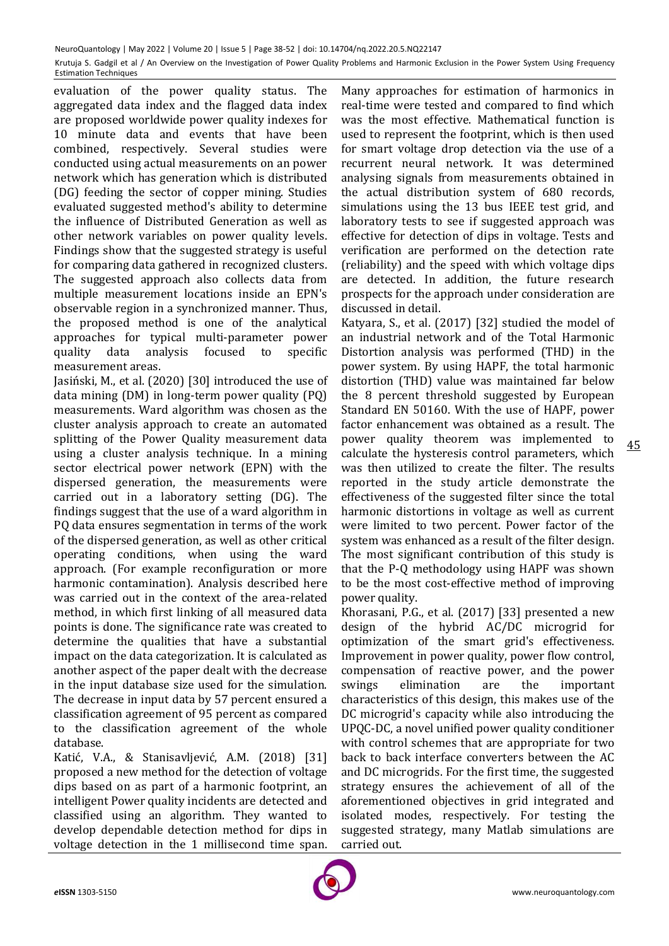evaluation of the power quality status. The aggregated data index and the flagged data index are proposed worldwide power quality indexes for 10 minute data and events that have been combined, respectively. Several studies were conducted using actual measurements on an power network which has generation which is distributed (DG) feeding the sector of copper mining. Studies evaluated suggested method's ability to determine the influence of Distributed Generation as well as other network variables on power quality levels. Findings show that the suggested strategy is useful for comparing data gathered in recognized clusters. The suggested approach also collects data from multiple measurement locations inside an EPN's observable region in a synchronized manner. Thus, the proposed method is one of the analytical approaches for typical multi-parameter power quality data analysis focused to specific measurement areas.

Jasiński, M., et al. (2020) [30] introduced the use of data mining (DM) in long-term power quality (PQ) measurements. Ward algorithm was chosen as the cluster analysis approach to create an automated splitting of the Power Quality measurement data using a cluster analysis technique. In a mining sector electrical power network (EPN) with the dispersed generation, the measurements were carried out in a laboratory setting (DG). The findings suggest that the use of a ward algorithm in PQ data ensures segmentation in terms of the work of the dispersed generation, as well as other critical operating conditions, when using the ward approach. (For example reconfiguration or more harmonic contamination). Analysis described here was carried out in the context of the area-related method, in which first linking of all measured data points is done. The significance rate was created to determine the qualities that have a substantial impact on the data categorization. It is calculated as another aspect of the paper dealt with the decrease in the input database size used for the simulation. The decrease in input data by 57 percent ensured a classification agreement of 95 percent as compared to the classification agreement of the whole database.

Katić, V.A., & Stanisavljević, A.M. (2018) [31] proposed a new method for the detection of voltage dips based on as part of a harmonic footprint, an intelligent Power quality incidents are detected and classified using an algorithm. They wanted to develop dependable detection method for dips in voltage detection in the 1 millisecond time span.

Many approaches for estimation of harmonics in real-time were tested and compared to find which was the most effective. Mathematical function is used to represent the footprint, which is then used for smart voltage drop detection via the use of a recurrent neural network. It was determined analysing signals from measurements obtained in the actual distribution system of 680 records, simulations using the 13 bus IEEE test grid, and laboratory tests to see if suggested approach was effective for detection of dips in voltage. Tests and verification are performed on the detection rate (reliability) and the speed with which voltage dips are detected. In addition, the future research prospects for the approach under consideration are discussed in detail.

Katyara, S., et al. (2017) [32] studied the model of an industrial network and of the Total Harmonic Distortion analysis was performed (THD) in the power system. By using HAPF, the total harmonic distortion (THD) value was maintained far below the 8 percent threshold suggested by European Standard EN 50160. With the use of HAPF, power factor enhancement was obtained as a result. The power quality theorem was implemented to calculate the hysteresis control parameters, which was then utilized to create the filter. The results reported in the study article demonstrate the effectiveness of the suggested filter since the total harmonic distortions in voltage as well as current were limited to two percent. Power factor of the system was enhanced as a result of the filter design. The most significant contribution of this study is that the P-Q methodology using HAPF was shown to be the most cost-effective method of improving power quality.

Khorasani, P.G., et al. (2017) [33] presented a new design of the hybrid AC/DC microgrid for optimization of the smart grid's effectiveness. Improvement in power quality, power flow control, compensation of reactive power, and the power swings elimination are the important characteristics of this design, this makes use of the DC microgrid's capacity while also introducing the UPQC-DC, a novel unified power quality conditioner with control schemes that are appropriate for two back to back interface converters between the AC and DC microgrids. For the first time, the suggested strategy ensures the achievement of all of the aforementioned objectives in grid integrated and isolated modes, respectively. For testing the suggested strategy, many Matlab simulations are carried out.

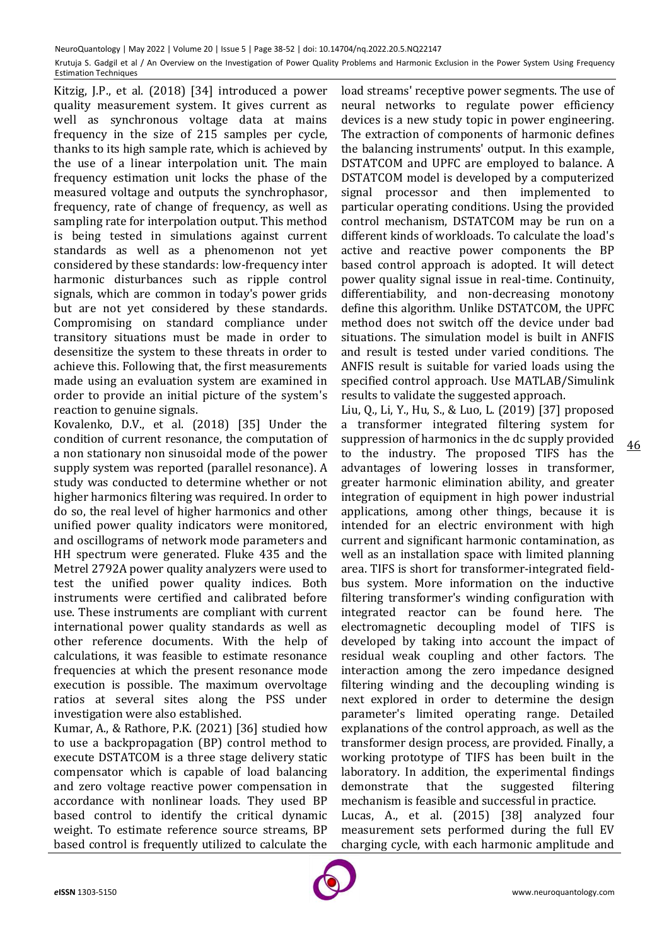Kitzig, J.P., et al. (2018) [34] introduced a power quality measurement system. It gives current as well as synchronous voltage data at mains frequency in the size of 215 samples per cycle, thanks to its high sample rate, which is achieved by the use of a linear interpolation unit. The main frequency estimation unit locks the phase of the measured voltage and outputs the synchrophasor, frequency, rate of change of frequency, as well as sampling rate for interpolation output. This method is being tested in simulations against current standards as well as a phenomenon not yet considered by these standards: low-frequency inter harmonic disturbances such as ripple control signals, which are common in today's power grids but are not yet considered by these standards. Compromising on standard compliance under transitory situations must be made in order to desensitize the system to these threats in order to achieve this. Following that, the first measurements made using an evaluation system are examined in order to provide an initial picture of the system's reaction to genuine signals.

Kovalenko, D.V., et al. (2018) [35] Under the condition of current resonance, the computation of a non stationary non sinusoidal mode of the power supply system was reported (parallel resonance). A study was conducted to determine whether or not higher harmonics filtering was required. In order to do so, the real level of higher harmonics and other unified power quality indicators were monitored, and oscillograms of network mode parameters and HH spectrum were generated. Fluke 435 and the Metrel 2792A power quality analyzers were used to test the unified power quality indices. Both instruments were certified and calibrated before use. These instruments are compliant with current international power quality standards as well as other reference documents. With the help of calculations, it was feasible to estimate resonance frequencies at which the present resonance mode execution is possible. The maximum overvoltage ratios at several sites along the PSS under investigation were also established.

Kumar, A., & Rathore, P.K. (2021) [36] studied how to use a backpropagation (BP) control method to execute DSTATCOM is a three stage delivery static compensator which is capable of load balancing and zero voltage reactive power compensation in accordance with nonlinear loads. They used BP based control to identify the critical dynamic weight. To estimate reference source streams, BP based control is frequently utilized to calculate the

load streams' receptive power segments. The use of neural networks to regulate power efficiency devices is a new study topic in power engineering. The extraction of components of harmonic defines the balancing instruments' output. In this example, DSTATCOM and UPFC are employed to balance. A DSTATCOM model is developed by a computerized signal processor and then implemented to particular operating conditions. Using the provided control mechanism, DSTATCOM may be run on a different kinds of workloads. To calculate the load's active and reactive power components the BP based control approach is adopted. It will detect power quality signal issue in real-time. Continuity, differentiability, and non-decreasing monotony define this algorithm. Unlike DSTATCOM, the UPFC method does not switch off the device under bad situations. The simulation model is built in ANFIS and result is tested under varied conditions. The ANFIS result is suitable for varied loads using the specified control approach. Use MATLAB/Simulink results to validate the suggested approach.

Liu, Q., Li, Y., Hu, S., & Luo, L. (2019) [37] proposed a transformer integrated filtering system for suppression of harmonics in the dc supply provided to the industry. The proposed TIFS has the advantages of lowering losses in transformer, greater harmonic elimination ability, and greater integration of equipment in high power industrial applications, among other things, because it is intended for an electric environment with high current and significant harmonic contamination, as well as an installation space with limited planning area. TIFS is short for transformer-integrated fieldbus system. More information on the inductive filtering transformer's winding configuration with integrated reactor can be found here. The electromagnetic decoupling model of TIFS is developed by taking into account the impact of residual weak coupling and other factors. The interaction among the zero impedance designed filtering winding and the decoupling winding is next explored in order to determine the design parameter's limited operating range. Detailed explanations of the control approach, as well as the transformer design process, are provided. Finally, a working prototype of TIFS has been built in the laboratory. In addition, the experimental findings demonstrate that the suggested filtering mechanism is feasible and successful in practice. Lucas, A., et al. (2015) [38] analyzed four measurement sets performed during the full EV charging cycle, with each harmonic amplitude and

46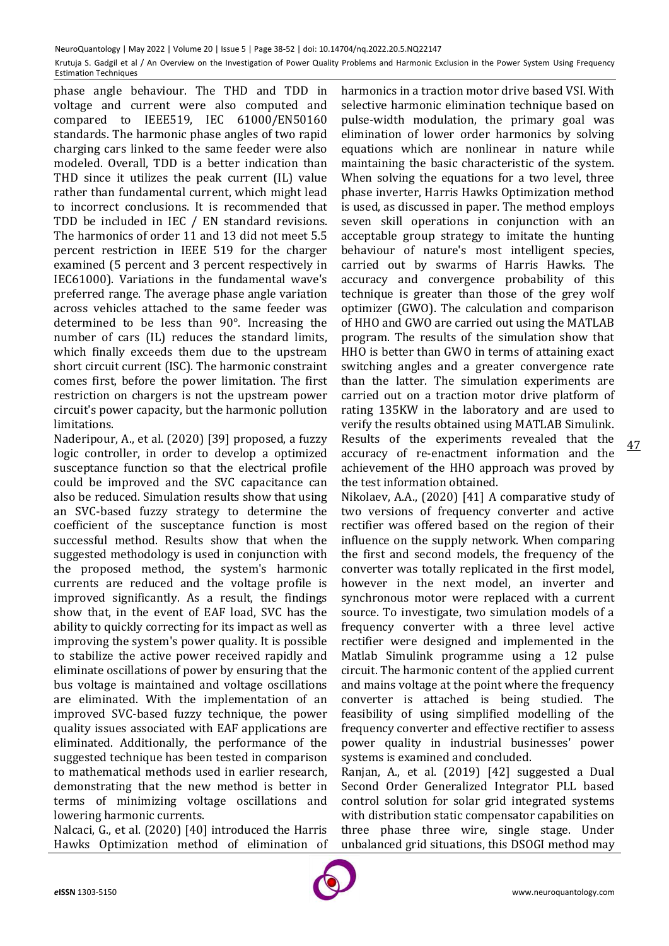phase angle behaviour. The THD and TDD in voltage and current were also computed and compared to IEEE519, IEC 61000/EN50160 standards. The harmonic phase angles of two rapid charging cars linked to the same feeder were also modeled. Overall, TDD is a better indication than THD since it utilizes the peak current (IL) value rather than fundamental current, which might lead to incorrect conclusions. It is recommended that TDD be included in IEC / EN standard revisions. The harmonics of order 11 and 13 did not meet 5.5 percent restriction in IEEE 519 for the charger examined (5 percent and 3 percent respectively in IEC61000). Variations in the fundamental wave's preferred range. The average phase angle variation across vehicles attached to the same feeder was determined to be less than 90°. Increasing the number of cars (IL) reduces the standard limits, which finally exceeds them due to the upstream short circuit current (ISC). The harmonic constraint comes first, before the power limitation. The first restriction on chargers is not the upstream power circuit's power capacity, but the harmonic pollution limitations.

Naderipour, A., et al. (2020) [39] proposed, a fuzzy logic controller, in order to develop a optimized susceptance function so that the electrical profile could be improved and the SVC capacitance can also be reduced. Simulation results show that using an SVC-based fuzzy strategy to determine the coefficient of the susceptance function is most successful method. Results show that when the suggested methodology is used in conjunction with the proposed method, the system's harmonic currents are reduced and the voltage profile is improved significantly. As a result, the findings show that, in the event of EAF load, SVC has the ability to quickly correcting for its impact as well as improving the system's power quality. It is possible to stabilize the active power received rapidly and eliminate oscillations of power by ensuring that the bus voltage is maintained and voltage oscillations are eliminated. With the implementation of an improved SVC-based fuzzy technique, the power quality issues associated with EAF applications are eliminated. Additionally, the performance of the suggested technique has been tested in comparison to mathematical methods used in earlier research, demonstrating that the new method is better in terms of minimizing voltage oscillations and lowering harmonic currents.

Nalcaci, G., et al. (2020) [40] introduced the Harris Hawks Optimization method of elimination of harmonics in a traction motor drive based VSI. With selective harmonic elimination technique based on pulse-width modulation, the primary goal was elimination of lower order harmonics by solving equations which are nonlinear in nature while maintaining the basic characteristic of the system. When solving the equations for a two level, three phase inverter, Harris Hawks Optimization method is used, as discussed in paper. The method employs seven skill operations in conjunction with an acceptable group strategy to imitate the hunting behaviour of nature's most intelligent species, carried out by swarms of Harris Hawks. The accuracy and convergence probability of this technique is greater than those of the grey wolf optimizer (GWO). The calculation and comparison of HHO and GWO are carried out using the MATLAB program. The results of the simulation show that HHO is better than GWO in terms of attaining exact switching angles and a greater convergence rate than the latter. The simulation experiments are carried out on a traction motor drive platform of rating 135KW in the laboratory and are used to verify the results obtained using MATLAB Simulink. Results of the experiments revealed that the accuracy of re-enactment information and the achievement of the HHO approach was proved by the test information obtained.

Nikolaev, A.A., (2020) [41] A comparative study of two versions of frequency converter and active rectifier was offered based on the region of their influence on the supply network. When comparing the first and second models, the frequency of the converter was totally replicated in the first model, however in the next model, an inverter and synchronous motor were replaced with a current source. To investigate, two simulation models of a frequency converter with a three level active rectifier were designed and implemented in the Matlab Simulink programme using a 12 pulse circuit. The harmonic content of the applied current and mains voltage at the point where the frequency converter is attached is being studied. The feasibility of using simplified modelling of the frequency converter and effective rectifier to assess power quality in industrial businesses' power systems is examined and concluded.

Ranjan, A., et al. (2019) [42] suggested a Dual Second Order Generalized Integrator PLL based control solution for solar grid integrated systems with distribution static compensator capabilities on three phase three wire, single stage. Under unbalanced grid situations, this DSOGI method may

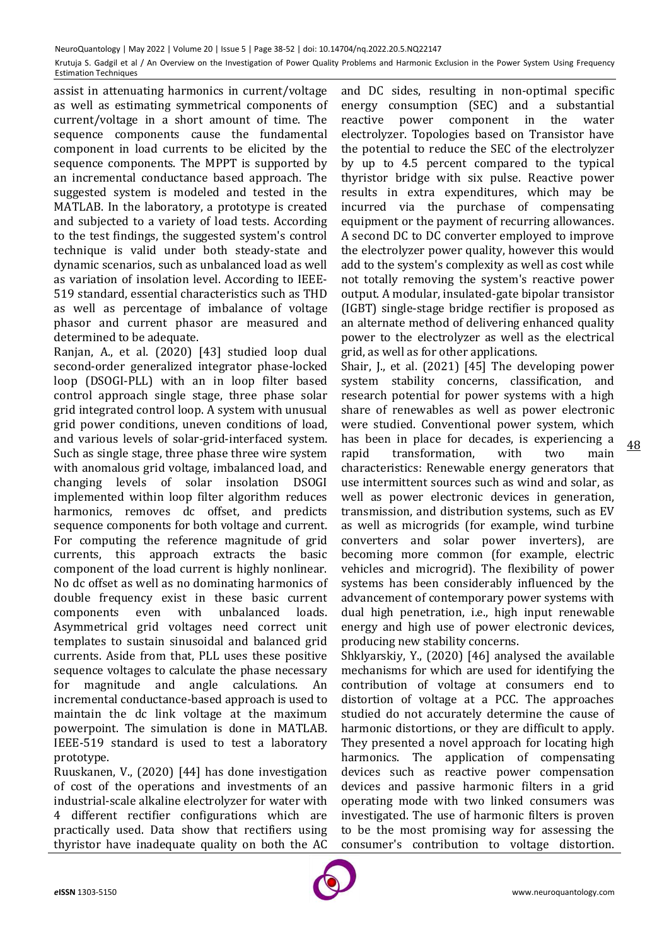assist in attenuating harmonics in current/voltage as well as estimating symmetrical components of current/voltage in a short amount of time. The sequence components cause the fundamental component in load currents to be elicited by the sequence components. The MPPT is supported by an incremental conductance based approach. The suggested system is modeled and tested in the MATLAB. In the laboratory, a prototype is created and subjected to a variety of load tests. According to the test findings, the suggested system's control technique is valid under both steady-state and dynamic scenarios, such as unbalanced load as well as variation of insolation level. According to IEEE-519 standard, essential characteristics such as THD as well as percentage of imbalance of voltage phasor and current phasor are measured and determined to be adequate.

Ranjan, A., et al. (2020) [43] studied loop dual second-order generalized integrator phase-locked loop (DSOGI-PLL) with an in loop filter based control approach single stage, three phase solar grid integrated control loop. A system with unusual grid power conditions, uneven conditions of load, and various levels of solar-grid-interfaced system. Such as single stage, three phase three wire system with anomalous grid voltage, imbalanced load, and changing levels of solar insolation DSOGI implemented within loop filter algorithm reduces harmonics, removes dc offset, and predicts sequence components for both voltage and current. For computing the reference magnitude of grid currents, this approach extracts the basic component of the load current is highly nonlinear. No dc offset as well as no dominating harmonics of double frequency exist in these basic current components even with unbalanced loads. Asymmetrical grid voltages need correct unit templates to sustain sinusoidal and balanced grid currents. Aside from that, PLL uses these positive sequence voltages to calculate the phase necessary for magnitude and angle calculations. An incremental conductance-based approach is used to maintain the dc link voltage at the maximum powerpoint. The simulation is done in MATLAB. IEEE-519 standard is used to test a laboratory prototype.

Ruuskanen, V., (2020) [44] has done investigation of cost of the operations and investments of an industrial-scale alkaline electrolyzer for water with 4 different rectifier configurations which are practically used. Data show that rectifiers using thyristor have inadequate quality on both the AC

and DC sides, resulting in non-optimal specific energy consumption (SEC) and a substantial reactive power component in the water electrolyzer. Topologies based on Transistor have the potential to reduce the SEC of the electrolyzer by up to 4.5 percent compared to the typical thyristor bridge with six pulse. Reactive power results in extra expenditures, which may be incurred via the purchase of compensating equipment or the payment of recurring allowances. A second DC to DC converter employed to improve the electrolyzer power quality, however this would add to the system's complexity as well as cost while not totally removing the system's reactive power output. A modular, insulated-gate bipolar transistor (IGBT) single-stage bridge rectifier is proposed as an alternate method of delivering enhanced quality power to the electrolyzer as well as the electrical grid, as well as for other applications.

Shair, J., et al. (2021) [45] The developing power system stability concerns, classification, and research potential for power systems with a high share of renewables as well as power electronic were studied. Conventional power system, which has been in place for decades, is experiencing a

rapid transformation, with two main characteristics: Renewable energy generators that use intermittent sources such as wind and solar, as well as power electronic devices in generation, transmission, and distribution systems, such as EV as well as microgrids (for example, wind turbine converters and solar power inverters), are becoming more common (for example, electric vehicles and microgrid). The flexibility of power systems has been considerably influenced by the advancement of contemporary power systems with dual high penetration, i.e., high input renewable energy and high use of power electronic devices, producing new stability concerns.

Shklyarskiy, Y., (2020) [46] analysed the available mechanisms for which are used for identifying the contribution of voltage at consumers end to distortion of voltage at a PCC. The approaches studied do not accurately determine the cause of harmonic distortions, or they are difficult to apply. They presented a novel approach for locating high harmonics. The application of compensating devices such as reactive power compensation devices and passive harmonic filters in a grid operating mode with two linked consumers was investigated. The use of harmonic filters is proven to be the most promising way for assessing the consumer's contribution to voltage distortion.

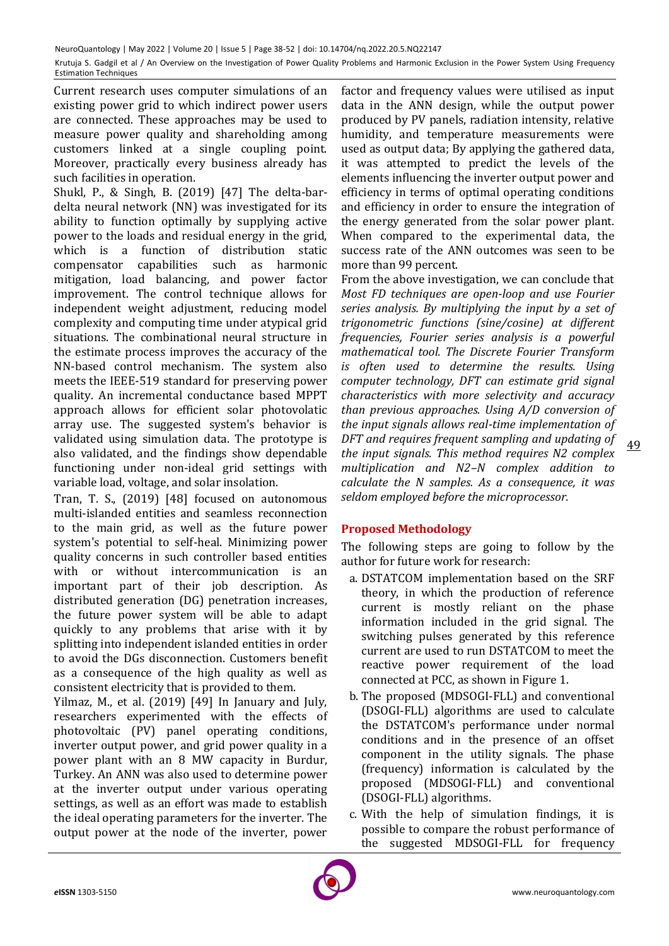Current research uses computer simulations of an existing power grid to which indirect power users are connected. These approaches may be used to measure power quality and shareholding among customers linked at a single coupling point. Moreover, practically every business already has such facilities in operation.

Shukl, P., & Singh, B. (2019) [47] The delta-bardelta neural network (NN) was investigated for its ability to function optimally by supplying active power to the loads and residual energy in the grid, which is a function of distribution static compensator capabilities such as harmonic mitigation, load balancing, and power factor improvement. The control technique allows for independent weight adjustment, reducing model complexity and computing time under atypical grid situations. The combinational neural structure in the estimate process improves the accuracy of the NN-based control mechanism. The system also meets the IEEE-519 standard for preserving power quality. An incremental conductance based MPPT approach allows for efficient solar photovolatic array use. The suggested system's behavior is validated using simulation data. The prototype is also validated, and the findings show dependable functioning under non-ideal grid settings with variable load, voltage, and solar insolation.

Tran, T. S., (2019) [48] focused on autonomous multi-islanded entities and seamless reconnection to the main grid, as well as the future power system's potential to self-heal. Minimizing power quality concerns in such controller based entities with or without intercommunication is an important part of their job description. As distributed generation (DG) penetration increases, the future power system will be able to adapt quickly to any problems that arise with it by splitting into independent islanded entities in order to avoid the DGs disconnection. Customers benefit as a consequence of the high quality as well as consistent electricity that is provided to them.

Yilmaz, M., et al. (2019) [49] In January and July, researchers experimented with the effects of photovoltaic (PV) panel operating conditions, inverter output power, and grid power quality in a power plant with an 8 MW capacity in Burdur, Turkey. An ANN was also used to determine power at the inverter output under various operating settings, as well as an effort was made to establish the ideal operating parameters for the inverter. The output power at the node of the inverter, power

factor and frequency values were utilised as input data in the ANN design, while the output power produced by PV panels, radiation intensity, relative humidity, and temperature measurements were used as output data; By applying the gathered data, it was attempted to predict the levels of the elements influencing the inverter output power and efficiency in terms of optimal operating conditions and efficiency in order to ensure the integration of the energy generated from the solar power plant. When compared to the experimental data, the success rate of the ANN outcomes was seen to be more than 99 percent.

From the above investigation, we can conclude that *Most FD techniques are open-loop and use Fourier series analysis. By multiplying the input by a set of trigonometric functions (sine/cosine) at different frequencies, Fourier series analysis is a powerful mathematical tool. The Discrete Fourier Transform is often used to determine the results. Using computer technology, DFT can estimate grid signal characteristics with more selectivity and accuracy than previous approaches. Using A/D conversion of the input signals allows real-time implementation of DFT and requires frequent sampling and updating of the input signals. This method requires N2 complex multiplication and N2–N complex addition to calculate the N samples. As a consequence, it was seldom employed before the microprocessor.*

## **Proposed Methodology**

The following steps are going to follow by the author for future work for research:

- a. DSTATCOM implementation based on the SRF theory, in which the production of reference current is mostly reliant on the phase information included in the grid signal. The switching pulses generated by this reference current are used to run DSTATCOM to meet the reactive power requirement of the load connected at PCC, as shown in Figure 1.
- b. The proposed (MDSOGI-FLL) and conventional (DSOGI-FLL) algorithms are used to calculate the DSTATCOM's performance under normal conditions and in the presence of an offset component in the utility signals. The phase (frequency) information is calculated by the proposed (MDSOGI-FLL) and conventional (DSOGI-FLL) algorithms.
- c. With the help of simulation findings, it is possible to compare the robust performance of the suggested MDSOGI-FLL for frequency

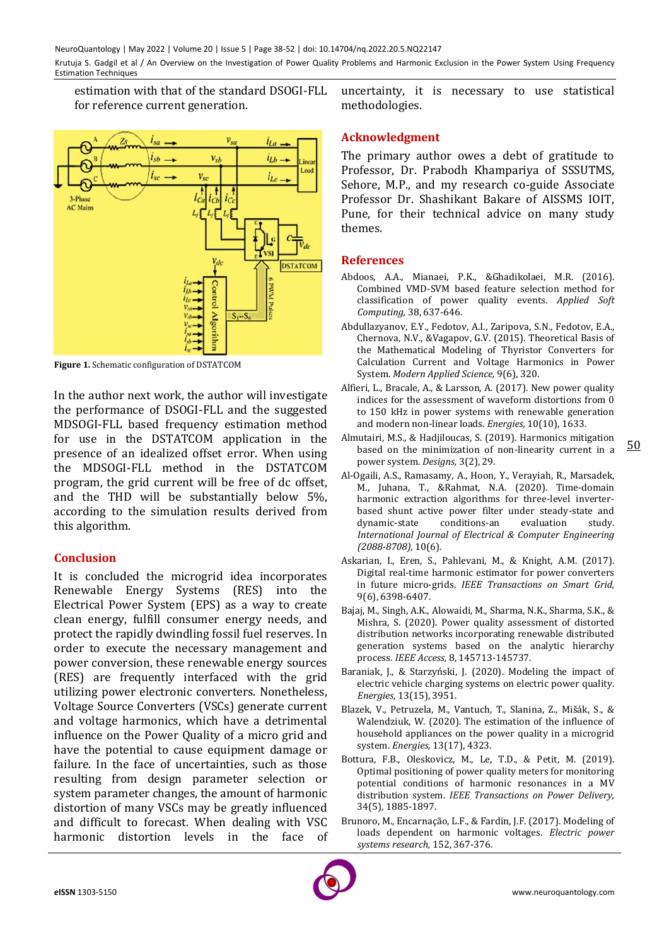estimation with that of the standard DSOGI-FLL for reference current generation.



**Figure 1.** Schematic configuration of DSTATCOM

In the author next work, the author will investigate the performance of DSOGI-FLL and the suggested MDSOGI-FLL based frequency estimation method for use in the DSTATCOM application in the presence of an idealized offset error. When using the MDSOGI-FLL method in the DSTATCOM program, the grid current will be free of dc offset, and the THD will be substantially below 5%, according to the simulation results derived from this algorithm.

## **Conclusion**

It is concluded the microgrid idea incorporates Renewable Energy Systems (RES) into the Electrical Power System (EPS) as a way to create clean energy, fulfill consumer energy needs, and protect the rapidly dwindling fossil fuel reserves. In order to execute the necessary management and power conversion, these renewable energy sources (RES) are frequently interfaced with the grid utilizing power electronic converters. Nonetheless, Voltage Source Converters (VSCs) generate current and voltage harmonics, which have a detrimental influence on the Power Quality of a micro grid and have the potential to cause equipment damage or failure. In the face of uncertainties, such as those resulting from design parameter selection or system parameter changes, the amount of harmonic distortion of many VSCs may be greatly influenced and difficult to forecast. When dealing with VSC harmonic distortion levels in the face of

uncertainty, it is necessary to use statistical methodologies.

### **Acknowledgment**

The primary author owes a debt of gratitude to Professor, Dr. Prabodh Khampariya of SSSUTMS, Sehore, M.P., and my research co-guide Associate Professor Dr. Shashikant Bakare of AISSMS IOIT, Pune, for their technical advice on many study themes.

#### **References**

- Abdoos, A.A., Mianaei, P.K., &Ghadikolaei, M.R. (2016). Combined VMD-SVM based feature selection method for classification of power quality events. *Applied Soft Computing,* 38, 637-646.
- Abdullazyanov, E.Y., Fedotov, A.I., Zaripova, S.N., Fedotov, E.A., Chernova, N.V., &Vagapov, G.V. (2015). Theoretical Basis of the Mathematical Modeling of Thyristor Converters for Calculation Current and Voltage Harmonics in Power System. *Modern Applied Science,* 9(6), 320.
- Alfieri, L., Bracale, A., & Larsson, A. (2017). New power quality indices for the assessment of waveform distortions from 0 to 150 kHz in power systems with renewable generation and modern non-linear loads. *Energies,* 10(10), 1633.
- Almutairi, M.S., & Hadjiloucas, S. (2019). Harmonics mitigation based on the minimization of non-linearity current in a power system. *Designs,* 3(2), 29.
- Al-Ogaili, A.S., Ramasamy, A., Hoon, Y., Verayiah, R., Marsadek, M., Juhana, T., &Rahmat, N.A. (2020). Time-domain harmonic extraction algorithms for three-level inverterbased shunt active power filter under steady-state and dynamic-state conditions-an evaluation study. *International Journal of Electrical & Computer Engineering (2088-8708),* 10(6).
- Askarian, I., Eren, S., Pahlevani, M., & Knight, A.M. (2017). Digital real-time harmonic estimator for power converters in future micro-grids. *IEEE Transactions on Smart Grid,* 9(6), 6398-6407.
- Bajaj, M., Singh, A.K., Alowaidi, M., Sharma, N.K., Sharma, S.K., & Mishra, S. (2020). Power quality assessment of distorted distribution networks incorporating renewable distributed generation systems based on the analytic hierarchy process. *IEEE Access,* 8, 145713-145737.
- Baraniak, J., & Starzyński, J. (2020). Modeling the impact of electric vehicle charging systems on electric power quality. *Energies,* 13(15), 3951.
- Blazek, V., Petruzela, M., Vantuch, T., Slanina, Z., Mišák, S., & Walendziuk, W. (2020). The estimation of the influence of household appliances on the power quality in a microgrid system. *Energies,* 13(17), 4323.
- Bottura, F.B., Oleskovicz, M., Le, T.D., & Petit, M. (2019). Optimal positioning of power quality meters for monitoring potential conditions of harmonic resonances in a MV distribution system. *IEEE Transactions on Power Delivery,* 34(5), 1885-1897.
- Brunoro, M., Encarnação, L.F., & Fardin, J.F. (2017). Modeling of loads dependent on harmonic voltages. *Electric power systems research,* 152, 367-376.

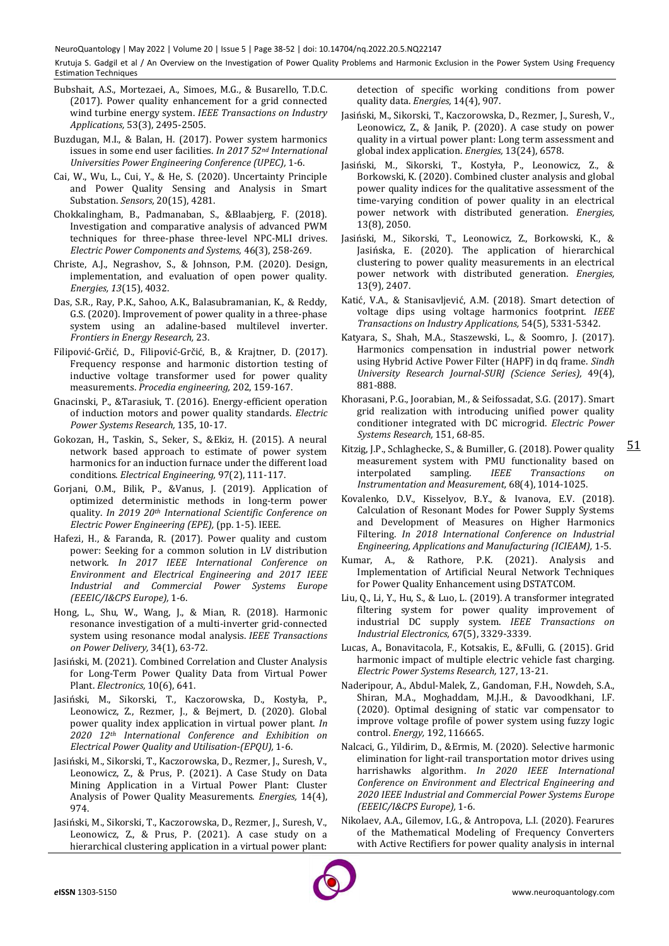- Bubshait, A.S., Mortezaei, A., Simoes, M.G., & Busarello, T.D.C. (2017). Power quality enhancement for a grid connected wind turbine energy system. *IEEE Transactions on Industry Applications,* 53(3), 2495-2505.
- Buzdugan, M.I., & Balan, H. (2017). Power system harmonics issues in some end user facilities. *In 2017 52nd International Universities Power Engineering Conference (UPEC),* 1-6.
- Cai, W., Wu, L., Cui, Y., & He, S. (2020). Uncertainty Principle and Power Quality Sensing and Analysis in Smart Substation. *Sensors,* 20(15), 4281.
- Chokkalingham, B., Padmanaban, S., &Blaabjerg, F. (2018). Investigation and comparative analysis of advanced PWM techniques for three-phase three-level NPC-MLI drives. *Electric Power Components and Systems,* 46(3), 258-269.
- Christe, A.J., Negrashov, S., & Johnson, P.M. (2020). Design, implementation, and evaluation of open power quality. *Energies, 13*(15), 4032.
- Das, S.R., Ray, P.K., Sahoo, A.K., Balasubramanian, K., & Reddy, G.S. (2020). Improvement of power quality in a three-phase system using an adaline-based multilevel inverter. *Frontiers in Energy Research,* 23.
- Filipović-Grčić, D., Filipović-Grčić, B., & Krajtner, D. (2017). Frequency response and harmonic distortion testing of inductive voltage transformer used for power quality measurements. *Procedia engineering,* 202, 159-167.
- Gnacinski, P., &Tarasiuk, T. (2016). Energy-efficient operation of induction motors and power quality standards. *Electric Power Systems Research,* 135, 10-17.
- Gokozan, H., Taskin, S., Seker, S., &Ekiz, H. (2015). A neural network based approach to estimate of power system harmonics for an induction furnace under the different load conditions. *Electrical Engineering,* 97(2), 111-117.
- Gorjani, O.M., Bilik, P., &Vanus, J. (2019). Application of optimized deterministic methods in long-term power quality. *In 2019 20th International Scientific Conference on Electric Power Engineering (EPE),* (pp. 1-5). IEEE.
- Hafezi, H., & Faranda, R. (2017). Power quality and custom power: Seeking for a common solution in LV distribution network. *In 2017 IEEE International Conference on Environment and Electrical Engineering and 2017 IEEE Industrial and Commercial Power Systems Europe (EEEIC/I&CPS Europe),* 1-6.
- Hong, L., Shu, W., Wang, J., & Mian, R. (2018). Harmonic resonance investigation of a multi-inverter grid-connected system using resonance modal analysis. *IEEE Transactions on Power Delivery,* 34(1), 63-72.
- Jasiński, M. (2021). Combined Correlation and Cluster Analysis for Long-Term Power Quality Data from Virtual Power Plant. *Electronics,* 10(6), 641.
- Jasiński, M., Sikorski, T., Kaczorowska, D., Kostyła, P., Leonowicz, Z., Rezmer, J., & Bejmert, D. (2020). Global power quality index application in virtual power plant. *In 2020 12th International Conference and Exhibition on Electrical Power Quality and Utilisation-(EPQU),* 1-6.
- Jasiński, M., Sikorski, T., Kaczorowska, D., Rezmer, J., Suresh, V., Leonowicz, Z., & Prus, P. (2021). A Case Study on Data Mining Application in a Virtual Power Plant: Cluster Analysis of Power Quality Measurements. *Energies,* 14(4), 974.
- Jasiński, M., Sikorski, T., Kaczorowska, D., Rezmer, J., Suresh, V., Leonowicz, Z., & Prus, P. (2021). A case study on a hierarchical clustering application in a virtual power plant:

detection of specific working conditions from power quality data. *Energies,* 14(4), 907.

- Jasiński, M., Sikorski, T., Kaczorowska, D., Rezmer, J., Suresh, V., Leonowicz, Z., & Janik, P. (2020). A case study on power quality in a virtual power plant: Long term assessment and global index application. *Energies,* 13(24), 6578.
- Jasiński, M., Sikorski, T., Kostyła, P., Leonowicz, Z., & Borkowski, K. (2020). Combined cluster analysis and global power quality indices for the qualitative assessment of the time-varying condition of power quality in an electrical power network with distributed generation. *Energies,*  13(8), 2050.
- Jasiński, M., Sikorski, T., Leonowicz, Z., Borkowski, K., & Jasińska, E. (2020). The application of hierarchical clustering to power quality measurements in an electrical power network with distributed generation. *Energies,*  13(9), 2407.
- Katić, V.A., & Stanisavljević, A.M. (2018). Smart detection of voltage dips using voltage harmonics footprint. *IEEE Transactions on Industry Applications,* 54(5), 5331-5342.
- Katyara, S., Shah, M.A., Staszewski, L., & Soomro, J. (2017). Harmonics compensation in industrial power network using Hybrid Active Power Filter (HAPF) in dq frame. *Sindh University Research Journal-SURJ (Science Series),* 49(4), 881-888.
- Khorasani, P.G., Joorabian, M., & Seifossadat, S.G. (2017). Smart grid realization with introducing unified power quality conditioner integrated with DC microgrid. *Electric Power Systems Research,* 151, 68-85.
- Kitzig, J.P., Schlaghecke, S., & Bumiller, G. (2018). Power quality measurement system with PMU functionality based on interpolated sampling. *IEEE Transactions Instrumentation and Measurement,* 68(4), 1014-1025.

51

- Kovalenko, D.V., Kisselyov, B.Y., & Ivanova, E.V. (2018). Calculation of Resonant Modes for Power Supply Systems and Development of Measures on Higher Harmonics Filtering. *In 2018 International Conference on Industrial Engineering, Applications and Manufacturing (ICIEAM),* 1-5.
- Kumar, A., & Rathore, P.K. (2021). Analysis and Implementation of Artificial Neural Network Techniques for Power Quality Enhancement using DSTATCOM.
- Liu, Q., Li, Y., Hu, S., & Luo, L. (2019). A transformer integrated filtering system for power quality improvement of industrial DC supply system. *IEEE Transactions on Industrial Electronics,* 67(5), 3329-3339.
- Lucas, A., Bonavitacola, F., Kotsakis, E., &Fulli, G. (2015). Grid harmonic impact of multiple electric vehicle fast charging. *Electric Power Systems Research,* 127, 13-21.
- Naderipour, A., Abdul-Malek, Z., Gandoman, F.H., Nowdeh, S.A., Shiran, M.A., Moghaddam, M.J.H., & Davoodkhani, I.F. (2020). Optimal designing of static var compensator to improve voltage profile of power system using fuzzy logic control. *Energy,* 192, 116665.
- Nalcaci, G., Yildirim, D., &Ermis, M. (2020). Selective harmonic elimination for light-rail transportation motor drives using harrishawks algorithm. *In 2020 IEEE International Conference on Environment and Electrical Engineering and 2020 IEEE Industrial and Commercial Power Systems Europe (EEEIC/I&CPS Europe),* 1-6.
- Nikolaev, A.A., Gilemov, I.G., & Antropova, L.I. (2020). Fearures of the Mathematical Modeling of Frequency Converters with Active Rectifiers for power quality analysis in internal